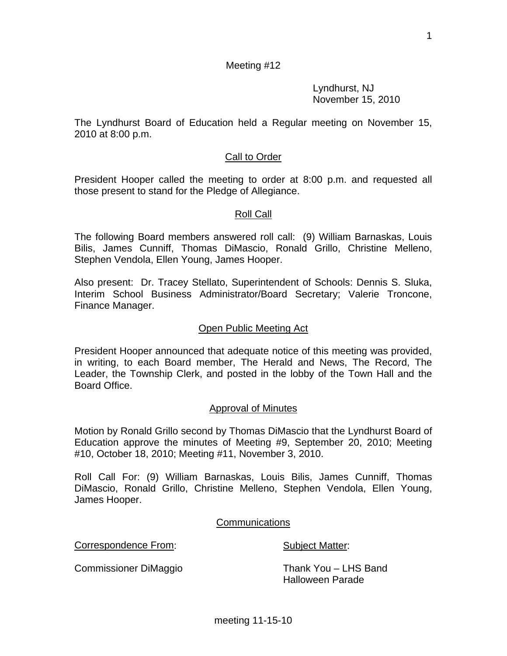1

# Meeting #12

 Lyndhurst, NJ November 15, 2010

The Lyndhurst Board of Education held a Regular meeting on November 15, 2010 at 8:00 p.m.

## Call to Order

President Hooper called the meeting to order at 8:00 p.m. and requested all those present to stand for the Pledge of Allegiance.

#### Roll Call

The following Board members answered roll call: (9) William Barnaskas, Louis Bilis, James Cunniff, Thomas DiMascio, Ronald Grillo, Christine Melleno, Stephen Vendola, Ellen Young, James Hooper.

Also present: Dr. Tracey Stellato, Superintendent of Schools: Dennis S. Sluka, Interim School Business Administrator/Board Secretary; Valerie Troncone, Finance Manager.

#### Open Public Meeting Act

President Hooper announced that adequate notice of this meeting was provided, in writing, to each Board member, The Herald and News, The Record, The Leader, the Township Clerk, and posted in the lobby of the Town Hall and the Board Office.

#### Approval of Minutes

Motion by Ronald Grillo second by Thomas DiMascio that the Lyndhurst Board of Education approve the minutes of Meeting #9, September 20, 2010; Meeting #10, October 18, 2010; Meeting #11, November 3, 2010.

Roll Call For: (9) William Barnaskas, Louis Bilis, James Cunniff, Thomas DiMascio, Ronald Grillo, Christine Melleno, Stephen Vendola, Ellen Young, James Hooper.

#### Communications

Correspondence From: Subject Matter:

Halloween Parade

Commissioner DiMaggio Thank You – LHS Band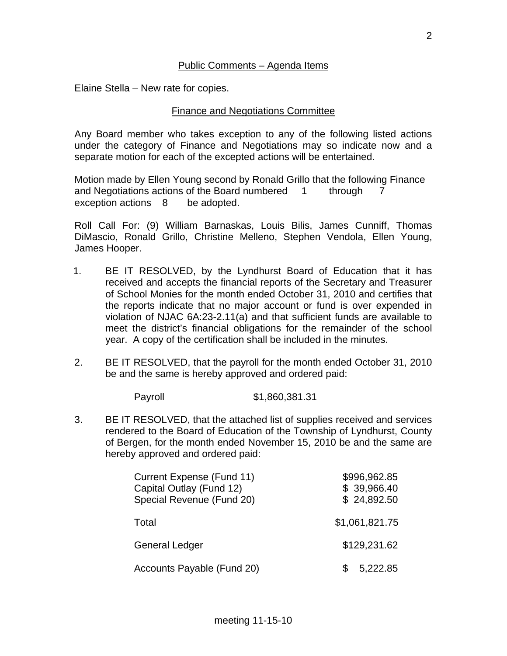#### Public Comments – Agenda Items

Elaine Stella – New rate for copies.

## Finance and Negotiations Committee

Any Board member who takes exception to any of the following listed actions under the category of Finance and Negotiations may so indicate now and a separate motion for each of the excepted actions will be entertained.

Motion made by Ellen Young second by Ronald Grillo that the following Finance and Negotiations actions of the Board numbered 1 through 7 exception actions 8 be adopted.

Roll Call For: (9) William Barnaskas, Louis Bilis, James Cunniff, Thomas DiMascio, Ronald Grillo, Christine Melleno, Stephen Vendola, Ellen Young, James Hooper.

- 1. BE IT RESOLVED, by the Lyndhurst Board of Education that it has received and accepts the financial reports of the Secretary and Treasurer of School Monies for the month ended October 31, 2010 and certifies that the reports indicate that no major account or fund is over expended in violation of NJAC 6A:23-2.11(a) and that sufficient funds are available to meet the district's financial obligations for the remainder of the school year. A copy of the certification shall be included in the minutes.
- 2. BE IT RESOLVED, that the payroll for the month ended October 31, 2010 be and the same is hereby approved and ordered paid:

Payroll \$1,860,381.31

3. BE IT RESOLVED, that the attached list of supplies received and services rendered to the Board of Education of the Township of Lyndhurst, County of Bergen, for the month ended November 15, 2010 be and the same are hereby approved and ordered paid:

| Current Expense (Fund 11)<br>Capital Outlay (Fund 12)<br>Special Revenue (Fund 20) | \$996,962.85<br>\$39,966.40<br>\$24,892.50 |
|------------------------------------------------------------------------------------|--------------------------------------------|
| Total                                                                              | \$1,061,821.75                             |
| <b>General Ledger</b>                                                              | \$129,231.62                               |
| Accounts Payable (Fund 20)                                                         | 5,222.85                                   |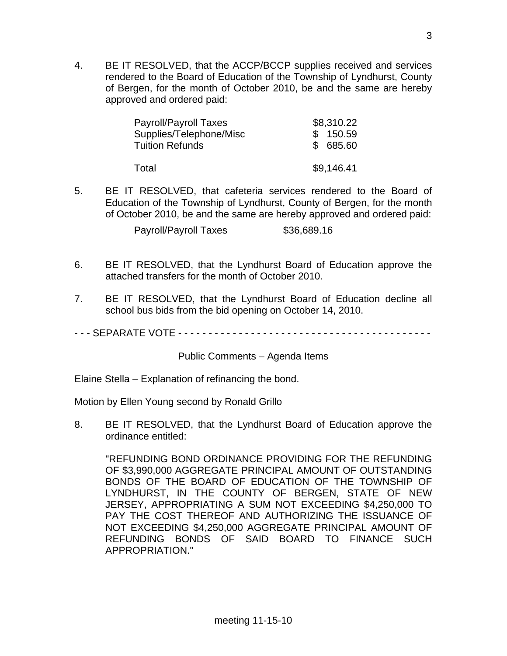4. BE IT RESOLVED, that the ACCP/BCCP supplies received and services rendered to the Board of Education of the Township of Lyndhurst, County of Bergen, for the month of October 2010, be and the same are hereby approved and ordered paid:

| Payroll/Payroll Taxes   | \$8,310.22 |
|-------------------------|------------|
| Supplies/Telephone/Misc | \$150.59   |
| <b>Tuition Refunds</b>  | \$ 685.60  |
| Total                   | \$9,146.41 |

5. BE IT RESOLVED, that cafeteria services rendered to the Board of Education of the Township of Lyndhurst, County of Bergen, for the month of October 2010, be and the same are hereby approved and ordered paid:

Payroll/Payroll Taxes \$36,689.16

- 6. BE IT RESOLVED, that the Lyndhurst Board of Education approve the attached transfers for the month of October 2010.
- 7. BE IT RESOLVED, that the Lyndhurst Board of Education decline all school bus bids from the bid opening on October 14, 2010.
- - SEPARATE VOTE - - - - - - - - - - - - - - - - - - - - -

#### Public Comments – Agenda Items

Elaine Stella – Explanation of refinancing the bond.

Motion by Ellen Young second by Ronald Grillo

8. BE IT RESOLVED, that the Lyndhurst Board of Education approve the ordinance entitled:

 "REFUNDING BOND ORDINANCE PROVIDING FOR THE REFUNDING OF \$3,990,000 AGGREGATE PRINCIPAL AMOUNT OF OUTSTANDING BONDS OF THE BOARD OF EDUCATION OF THE TOWNSHIP OF LYNDHURST, IN THE COUNTY OF BERGEN, STATE OF NEW JERSEY, APPROPRIATING A SUM NOT EXCEEDING \$4,250,000 TO PAY THE COST THEREOF AND AUTHORIZING THE ISSUANCE OF NOT EXCEEDING \$4,250,000 AGGREGATE PRINCIPAL AMOUNT OF REFUNDING BONDS OF SAID BOARD TO FINANCE SUCH APPROPRIATION."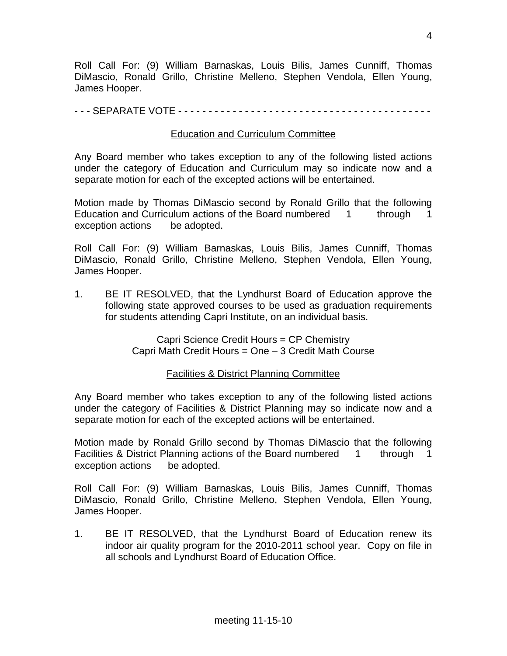Roll Call For: (9) William Barnaskas, Louis Bilis, James Cunniff, Thomas DiMascio, Ronald Grillo, Christine Melleno, Stephen Vendola, Ellen Young, James Hooper.

#### - - - SEPARATE VOTE - - - - - - - - - - - - - - - - - - - - - - - - - - - - - - - - - - - - - - - - - -

# Education and Curriculum Committee

Any Board member who takes exception to any of the following listed actions under the category of Education and Curriculum may so indicate now and a separate motion for each of the excepted actions will be entertained.

Motion made by Thomas DiMascio second by Ronald Grillo that the following Education and Curriculum actions of the Board numbered 1 through 1 exception actions be adopted.

Roll Call For: (9) William Barnaskas, Louis Bilis, James Cunniff, Thomas DiMascio, Ronald Grillo, Christine Melleno, Stephen Vendola, Ellen Young, James Hooper.

1. BE IT RESOLVED, that the Lyndhurst Board of Education approve the following state approved courses to be used as graduation requirements for students attending Capri Institute, on an individual basis.

> Capri Science Credit Hours = CP Chemistry Capri Math Credit Hours = One – 3 Credit Math Course

## Facilities & District Planning Committee

Any Board member who takes exception to any of the following listed actions under the category of Facilities & District Planning may so indicate now and a separate motion for each of the excepted actions will be entertained.

Motion made by Ronald Grillo second by Thomas DiMascio that the following Facilities & District Planning actions of the Board numbered 1 through 1 exception actions be adopted.

Roll Call For: (9) William Barnaskas, Louis Bilis, James Cunniff, Thomas DiMascio, Ronald Grillo, Christine Melleno, Stephen Vendola, Ellen Young, James Hooper.

1. BE IT RESOLVED, that the Lyndhurst Board of Education renew its indoor air quality program for the 2010-2011 school year. Copy on file in all schools and Lyndhurst Board of Education Office.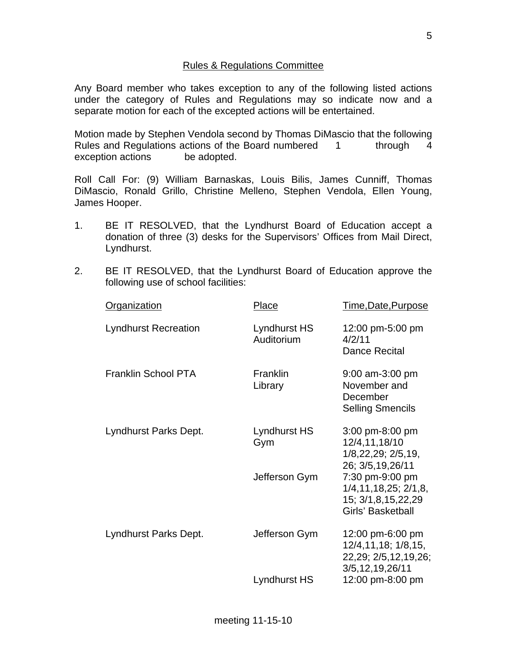## Rules & Regulations Committee

Any Board member who takes exception to any of the following listed actions under the category of Rules and Regulations may so indicate now and a separate motion for each of the excepted actions will be entertained.

Motion made by Stephen Vendola second by Thomas DiMascio that the following Rules and Regulations actions of the Board numbered 1 through 4 exception actions be adopted.

Roll Call For: (9) William Barnaskas, Louis Bilis, James Cunniff, Thomas DiMascio, Ronald Grillo, Christine Melleno, Stephen Vendola, Ellen Young, James Hooper.

- 1. BE IT RESOLVED, that the Lyndhurst Board of Education accept a donation of three (3) desks for the Supervisors' Offices from Mail Direct, Lyndhurst.
- 2. BE IT RESOLVED, that the Lyndhurst Board of Education approve the following use of school facilities:

| Organization                | Place                      | Time, Date, Purpose                                                                      |
|-----------------------------|----------------------------|------------------------------------------------------------------------------------------|
| <b>Lyndhurst Recreation</b> | Lyndhurst HS<br>Auditorium | 12:00 pm-5:00 pm<br>4/2/11<br>Dance Recital                                              |
| <b>Franklin School PTA</b>  | Franklin<br>Library        | $9:00$ am-3:00 pm<br>November and<br>December<br><b>Selling Smencils</b>                 |
| Lyndhurst Parks Dept.       | Lyndhurst HS<br>Gym        | 3:00 pm-8:00 pm<br>12/4,11,18/10<br>1/8,22,29; 2/5,19,<br>26; 3/5, 19, 26/11             |
|                             | Jefferson Gym              | 7:30 pm-9:00 pm<br>1/4, 11, 18, 25; 2/1, 8,<br>15; 3/1,8,15,22,29<br>Girls' Basketball   |
| Lyndhurst Parks Dept.       | Jefferson Gym              | 12:00 pm-6:00 pm<br>12/4, 11, 18; 1/8, 15,<br>22,29; 2/5,12,19,26;<br>3/5, 12, 19, 26/11 |
|                             | Lyndhurst HS               | 12:00 pm-8:00 pm                                                                         |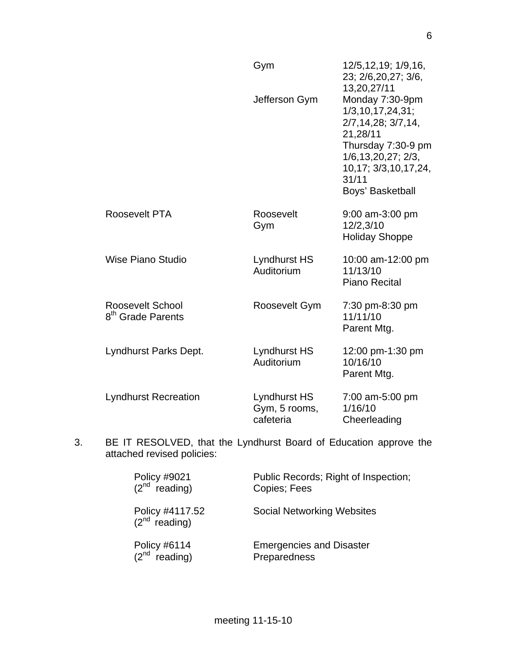|                                                   | Gym                                        | 12/5, 12, 19; 1/9, 16,<br>23; 2/6, 20, 27; 3/6,<br>13,20,27/11                                                                                                                       |
|---------------------------------------------------|--------------------------------------------|--------------------------------------------------------------------------------------------------------------------------------------------------------------------------------------|
|                                                   | Jefferson Gym                              | Monday 7:30-9pm<br>1/3, 10, 17, 24, 31;<br>2/7, 14, 28; 3/7, 14,<br>21,28/11<br>Thursday 7:30-9 pm<br>1/6, 13, 20, 27; 2/3,<br>10, 17; 3/3, 10, 17, 24,<br>31/11<br>Boys' Basketball |
| Roosevelt PTA                                     | Roosevelt<br>Gym                           | 9:00 am-3:00 pm<br>12/2,3/10<br><b>Holiday Shoppe</b>                                                                                                                                |
| Wise Piano Studio                                 | Lyndhurst HS<br>Auditorium                 | 10:00 am-12:00 pm<br>11/13/10<br><b>Piano Recital</b>                                                                                                                                |
| Roosevelt School<br>8 <sup>th</sup> Grade Parents | Roosevelt Gym                              | 7:30 pm-8:30 pm<br>11/11/10<br>Parent Mtg.                                                                                                                                           |
| Lyndhurst Parks Dept.                             | Lyndhurst HS<br>Auditorium                 | 12:00 pm-1:30 pm<br>10/16/10<br>Parent Mtg.                                                                                                                                          |
| <b>Lyndhurst Recreation</b>                       | Lyndhurst HS<br>Gym, 5 rooms,<br>cafeteria | 7:00 am-5:00 pm<br>1/16/10<br>Cheerleading                                                                                                                                           |

3. BE IT RESOLVED, that the Lyndhurst Board of Education approve the attached revised policies:

| Policy #9021<br>$(2^{nd}$ reading)    | Public Records; Right of Inspection;<br>Copies; Fees |
|---------------------------------------|------------------------------------------------------|
| Policy #4117.52<br>$(2^{nd}$ reading) | <b>Social Networking Websites</b>                    |
| Policy #6114<br>$(2nd$ reading)       | <b>Emergencies and Disaster</b><br>Preparedness      |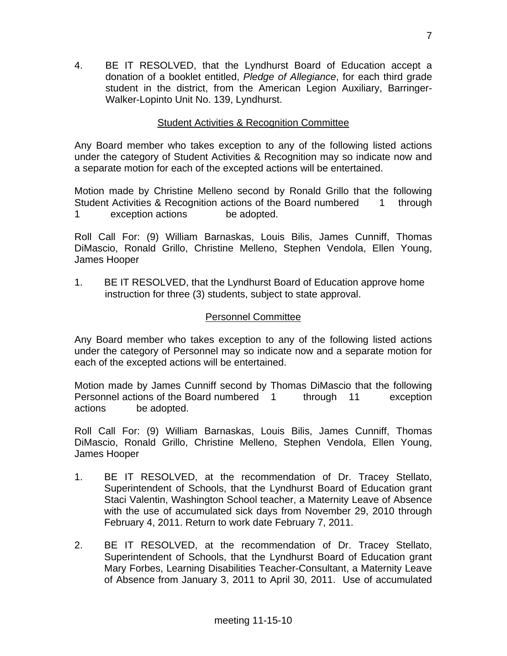4. BE IT RESOLVED, that the Lyndhurst Board of Education accept a donation of a booklet entitled, *Pledge of Allegiance*, for each third grade student in the district, from the American Legion Auxiliary, Barringer-Walker-Lopinto Unit No. 139, Lyndhurst.

# Student Activities & Recognition Committee

Any Board member who takes exception to any of the following listed actions under the category of Student Activities & Recognition may so indicate now and a separate motion for each of the excepted actions will be entertained.

Motion made by Christine Melleno second by Ronald Grillo that the following Student Activities & Recognition actions of the Board numbered 1 through 1 exception actions be adopted.

Roll Call For: (9) William Barnaskas, Louis Bilis, James Cunniff, Thomas DiMascio, Ronald Grillo, Christine Melleno, Stephen Vendola, Ellen Young, James Hooper

1. BE IT RESOLVED, that the Lyndhurst Board of Education approve home instruction for three (3) students, subject to state approval.

## Personnel Committee

Any Board member who takes exception to any of the following listed actions under the category of Personnel may so indicate now and a separate motion for each of the excepted actions will be entertained.

Motion made by James Cunniff second by Thomas DiMascio that the following Personnel actions of the Board numbered 1 through 11 exception actions be adopted.

Roll Call For: (9) William Barnaskas, Louis Bilis, James Cunniff, Thomas DiMascio, Ronald Grillo, Christine Melleno, Stephen Vendola, Ellen Young, James Hooper

- 1. BE IT RESOLVED, at the recommendation of Dr. Tracey Stellato, Superintendent of Schools, that the Lyndhurst Board of Education grant Staci Valentin, Washington School teacher, a Maternity Leave of Absence with the use of accumulated sick days from November 29, 2010 through February 4, 2011. Return to work date February 7, 2011.
- 2. BE IT RESOLVED, at the recommendation of Dr. Tracey Stellato, Superintendent of Schools, that the Lyndhurst Board of Education grant Mary Forbes, Learning Disabilities Teacher-Consultant, a Maternity Leave of Absence from January 3, 2011 to April 30, 2011. Use of accumulated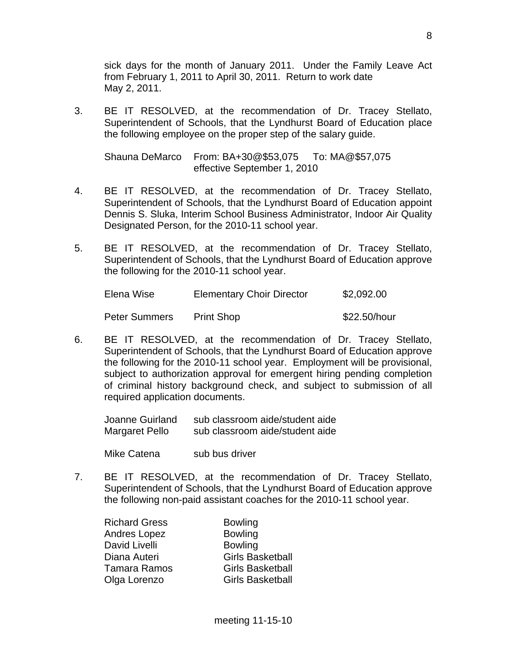sick days for the month of January 2011. Under the Family Leave Act from February 1, 2011 to April 30, 2011. Return to work date May 2, 2011.

3. BE IT RESOLVED, at the recommendation of Dr. Tracey Stellato, Superintendent of Schools, that the Lyndhurst Board of Education place the following employee on the proper step of the salary guide.

 Shauna DeMarco From: BA+30@\$53,075 To: MA@\$57,075 effective September 1, 2010

- 4. BE IT RESOLVED, at the recommendation of Dr. Tracey Stellato, Superintendent of Schools, that the Lyndhurst Board of Education appoint Dennis S. Sluka, Interim School Business Administrator, Indoor Air Quality Designated Person, for the 2010-11 school year.
- 5. BE IT RESOLVED, at the recommendation of Dr. Tracey Stellato, Superintendent of Schools, that the Lyndhurst Board of Education approve the following for the 2010-11 school year.

| Elena Wise           | <b>Elementary Choir Director</b> | \$2,092.00   |
|----------------------|----------------------------------|--------------|
| <b>Peter Summers</b> | <b>Print Shop</b>                | \$22.50/hour |

6. BE IT RESOLVED, at the recommendation of Dr. Tracey Stellato, Superintendent of Schools, that the Lyndhurst Board of Education approve the following for the 2010-11 school year. Employment will be provisional, subject to authorization approval for emergent hiring pending completion of criminal history background check, and subject to submission of all required application documents.

 Joanne Guirland sub classroom aide/student aide Margaret Pello sub classroom aide/student aide

Mike Catena sub bus driver

7. BE IT RESOLVED, at the recommendation of Dr. Tracey Stellato, Superintendent of Schools, that the Lyndhurst Board of Education approve the following non-paid assistant coaches for the 2010-11 school year.

| <b>Richard Gress</b> | <b>Bowling</b>          |
|----------------------|-------------------------|
| Andres Lopez         | <b>Bowling</b>          |
| David Livelli        | <b>Bowling</b>          |
| Diana Auteri         | <b>Girls Basketball</b> |
| <b>Tamara Ramos</b>  | <b>Girls Basketball</b> |
| Olga Lorenzo         | <b>Girls Basketball</b> |
|                      |                         |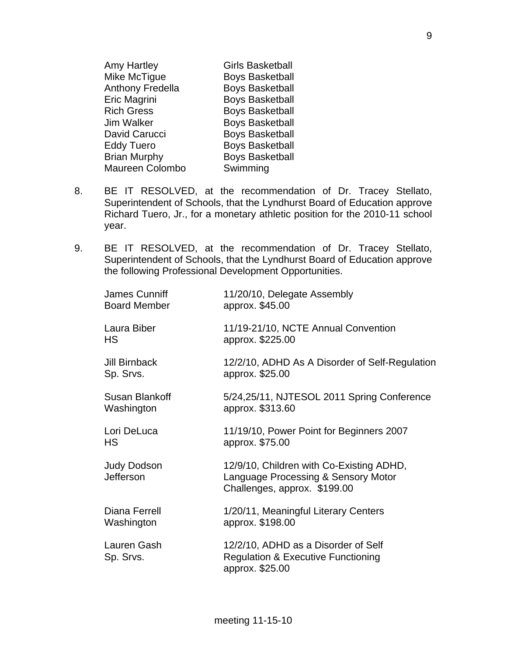| <b>Amy Hartley</b>  | <b>Girls Basketball</b> |
|---------------------|-------------------------|
| Mike McTigue        | <b>Boys Basketball</b>  |
| Anthony Fredella    | <b>Boys Basketball</b>  |
| <b>Eric Magrini</b> | <b>Boys Basketball</b>  |
| <b>Rich Gress</b>   | <b>Boys Basketball</b>  |
| Jim Walker          | <b>Boys Basketball</b>  |
| David Carucci       | <b>Boys Basketball</b>  |
| <b>Eddy Tuero</b>   | <b>Boys Basketball</b>  |
| <b>Brian Murphy</b> | <b>Boys Basketball</b>  |
| Maureen Colombo     | Swimming                |

- 8. BE IT RESOLVED, at the recommendation of Dr. Tracey Stellato, Superintendent of Schools, that the Lyndhurst Board of Education approve Richard Tuero, Jr., for a monetary athletic position for the 2010-11 school year.
- 9. BE IT RESOLVED, at the recommendation of Dr. Tracey Stellato, Superintendent of Schools, that the Lyndhurst Board of Education approve the following Professional Development Opportunities.

| James Cunniff<br><b>Board Member</b> | 11/20/10, Delegate Assembly<br>approx. \$45.00                                                                  |
|--------------------------------------|-----------------------------------------------------------------------------------------------------------------|
| Laura Biber<br><b>HS</b>             | 11/19-21/10, NCTE Annual Convention<br>approx. \$225.00                                                         |
| <b>Jill Birnback</b><br>Sp. Srvs.    | 12/2/10, ADHD As A Disorder of Self-Regulation<br>approx. \$25.00                                               |
| Susan Blankoff<br>Washington         | 5/24,25/11, NJTESOL 2011 Spring Conference<br>approx. \$313.60                                                  |
| Lori DeLuca<br><b>HS</b>             | 11/19/10, Power Point for Beginners 2007<br>approx. \$75.00                                                     |
| <b>Judy Dodson</b><br>Jefferson      | 12/9/10, Children with Co-Existing ADHD,<br>Language Processing & Sensory Motor<br>Challenges, approx. \$199.00 |
| Diana Ferrell<br>Washington          | 1/20/11, Meaningful Literary Centers<br>approx. \$198.00                                                        |
| Lauren Gash<br>Sp. Srvs.             | 12/2/10, ADHD as a Disorder of Self<br><b>Regulation &amp; Executive Functioning</b><br>approx. \$25.00         |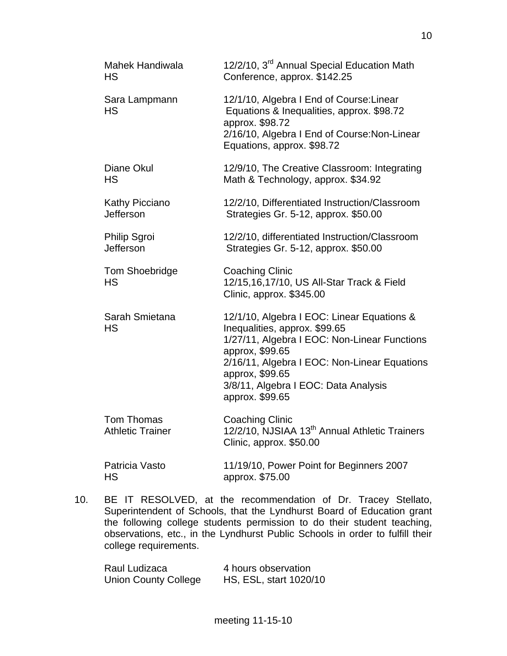| <b>Mahek Handiwala</b><br><b>HS</b>   | 12/2/10, 3 <sup>rd</sup> Annual Special Education Math<br>Conference, approx. \$142.25                                                                                                                                                                                       |
|---------------------------------------|------------------------------------------------------------------------------------------------------------------------------------------------------------------------------------------------------------------------------------------------------------------------------|
| Sara Lampmann<br><b>HS</b>            | 12/1/10, Algebra I End of Course: Linear<br>Equations & Inequalities, approx. \$98.72<br>approx. \$98.72<br>2/16/10, Algebra I End of Course: Non-Linear<br>Equations, approx. \$98.72                                                                                       |
| Diane Okul<br><b>HS</b>               | 12/9/10, The Creative Classroom: Integrating<br>Math & Technology, approx. \$34.92                                                                                                                                                                                           |
| Kathy Picciano<br>Jefferson           | 12/2/10, Differentiated Instruction/Classroom<br>Strategies Gr. 5-12, approx. \$50.00                                                                                                                                                                                        |
| <b>Philip Sgroi</b><br>Jefferson      | 12/2/10, differentiated Instruction/Classroom<br>Strategies Gr. 5-12, approx. \$50.00                                                                                                                                                                                        |
| <b>Tom Shoebridge</b><br><b>HS</b>    | <b>Coaching Clinic</b><br>12/15,16,17/10, US All-Star Track & Field<br>Clinic, approx. \$345.00                                                                                                                                                                              |
| Sarah Smietana<br>HS                  | 12/1/10, Algebra I EOC: Linear Equations &<br>Inequalities, approx. \$99.65<br>1/27/11, Algebra I EOC: Non-Linear Functions<br>approx, \$99.65<br>2/16/11, Algebra I EOC: Non-Linear Equations<br>approx, \$99.65<br>3/8/11, Algebra I EOC: Data Analysis<br>approx. \$99.65 |
| Tom Thomas<br><b>Athletic Trainer</b> | <b>Coaching Clinic</b><br>12/2/10, NJSIAA 13 <sup>th</sup> Annual Athletic Trainers<br>Clinic, approx. \$50.00                                                                                                                                                               |
| Patricia Vasto<br>HS                  | 11/19/10, Power Point for Beginners 2007<br>approx. \$75.00                                                                                                                                                                                                                  |

10. BE IT RESOLVED, at the recommendation of Dr. Tracey Stellato, Superintendent of Schools, that the Lyndhurst Board of Education grant the following college students permission to do their student teaching, observations, etc., in the Lyndhurst Public Schools in order to fulfill their college requirements.

| Raul Ludizaca               | 4 hours observation    |
|-----------------------------|------------------------|
| <b>Union County College</b> | HS, ESL, start 1020/10 |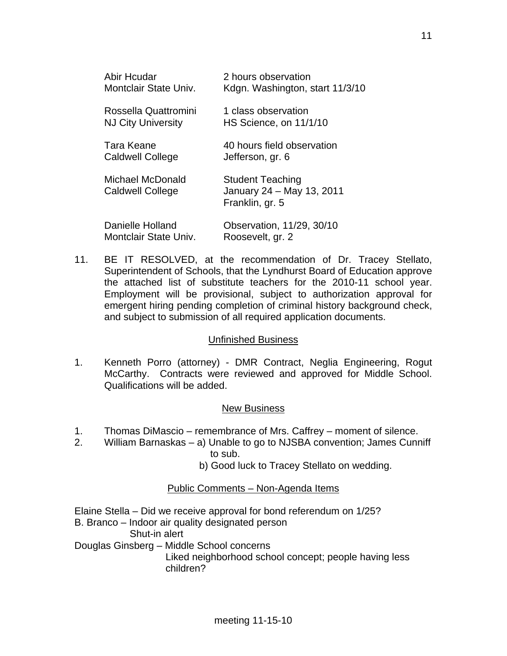| Abir Hcudar<br>Montclair State Univ.              | 2 hours observation<br>Kdgn. Washington, start 11/3/10                  |
|---------------------------------------------------|-------------------------------------------------------------------------|
| Rossella Quattromini<br><b>NJ City University</b> | 1 class observation<br>HS Science, on 11/1/10                           |
| Tara Keane<br><b>Caldwell College</b>             | 40 hours field observation<br>Jefferson, gr. 6                          |
| Michael McDonald<br><b>Caldwell College</b>       | <b>Student Teaching</b><br>January 24 - May 13, 2011<br>Franklin, gr. 5 |
| Danielle Holland<br>Montclair State Univ.         | Observation, 11/29, 30/10<br>Roosevelt, gr. 2                           |

11. BE IT RESOLVED, at the recommendation of Dr. Tracey Stellato, Superintendent of Schools, that the Lyndhurst Board of Education approve the attached list of substitute teachers for the 2010-11 school year. Employment will be provisional, subject to authorization approval for emergent hiring pending completion of criminal history background check, and subject to submission of all required application documents.

## Unfinished Business

1. Kenneth Porro (attorney) - DMR Contract, Neglia Engineering, Rogut McCarthy. Contracts were reviewed and approved for Middle School. Qualifications will be added.

#### New Business

- 1. Thomas DiMascio remembrance of Mrs. Caffrey moment of silence.
- 2. William Barnaskas a) Unable to go to NJSBA convention; James Cunniff to sub.
	- b) Good luck to Tracey Stellato on wedding.

## Public Comments – Non-Agenda Items

Elaine Stella – Did we receive approval for bond referendum on 1/25? B. Branco – Indoor air quality designated person Shut-in alert Douglas Ginsberg – Middle School concerns Liked neighborhood school concept; people having less children?